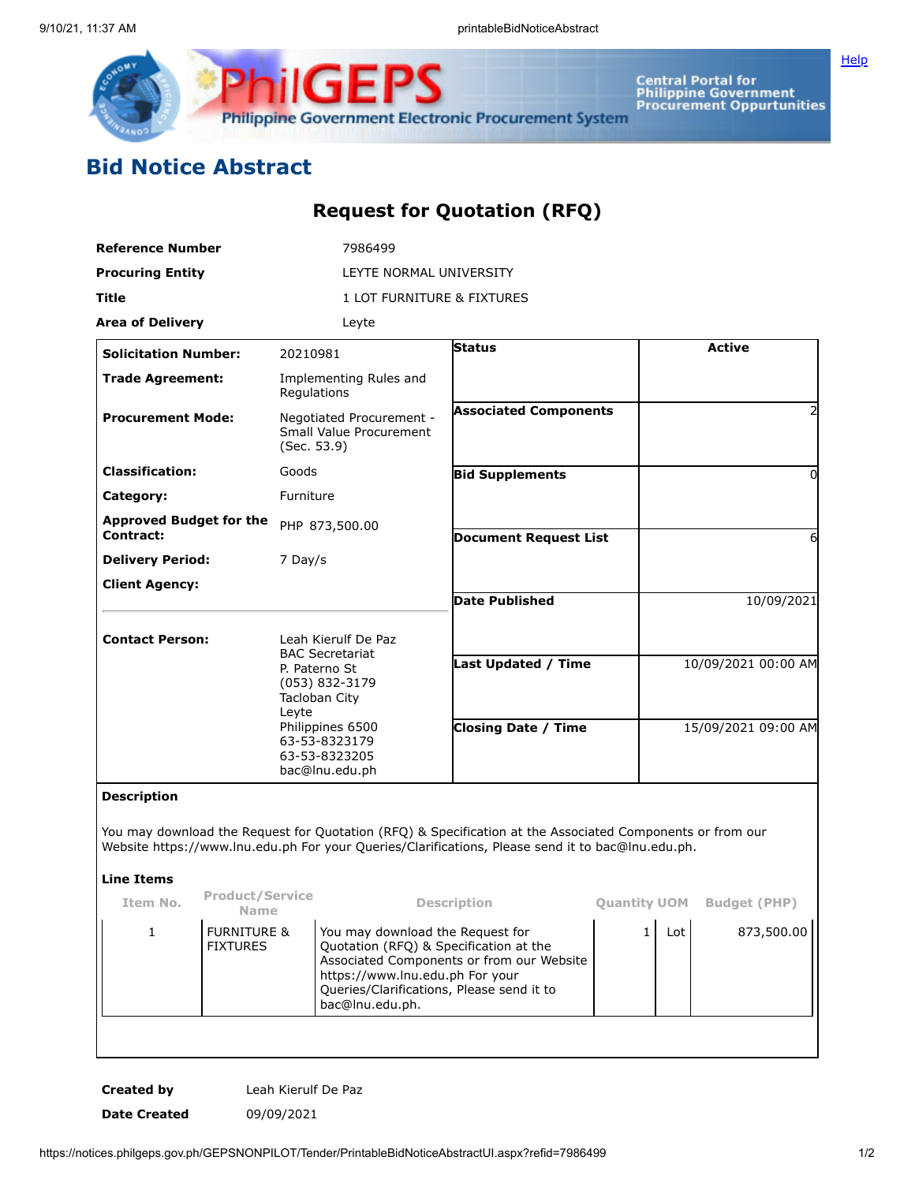

**Central Portal for<br>Philippine Government<br>Procurement Oppurtunities** 

**[Help](javascript:void(window.open()** 

## **Bid Notice Abstract**

## **Request for Quotation (RFQ)**

| <b>Reference Number</b>                            |                                           |                                                                                                                                                                                    | 7986499                    |                                                                                                                                                                                                                |                     |                     |                     |  |
|----------------------------------------------------|-------------------------------------------|------------------------------------------------------------------------------------------------------------------------------------------------------------------------------------|----------------------------|----------------------------------------------------------------------------------------------------------------------------------------------------------------------------------------------------------------|---------------------|---------------------|---------------------|--|
| <b>Procuring Entity</b>                            |                                           | LEYTE NORMAL UNIVERSITY                                                                                                                                                            |                            |                                                                                                                                                                                                                |                     |                     |                     |  |
| <b>Title</b>                                       |                                           |                                                                                                                                                                                    | 1 LOT FURNITURE & FIXTURES |                                                                                                                                                                                                                |                     |                     |                     |  |
| <b>Area of Delivery</b>                            |                                           |                                                                                                                                                                                    | Leyte                      |                                                                                                                                                                                                                |                     |                     |                     |  |
| <b>Solicitation Number:</b>                        |                                           | 20210981                                                                                                                                                                           |                            | <b>Status</b>                                                                                                                                                                                                  |                     |                     | <b>Active</b>       |  |
| <b>Trade Agreement:</b>                            |                                           | Regulations                                                                                                                                                                        | Implementing Rules and     |                                                                                                                                                                                                                |                     |                     |                     |  |
| <b>Procurement Mode:</b>                           |                                           | Negotiated Procurement -<br>Small Value Procurement<br>(Sec. 53.9)                                                                                                                 |                            | <b>Associated Components</b>                                                                                                                                                                                   |                     |                     | 2                   |  |
| <b>Classification:</b>                             |                                           | Goods                                                                                                                                                                              |                            | <b>Bid Supplements</b>                                                                                                                                                                                         |                     |                     | 0                   |  |
| Category:                                          |                                           | Furniture                                                                                                                                                                          |                            |                                                                                                                                                                                                                |                     |                     |                     |  |
| <b>Approved Budget for the</b><br><b>Contract:</b> |                                           |                                                                                                                                                                                    | PHP 873,500.00             | <b>Document Request List</b>                                                                                                                                                                                   |                     | 6                   |                     |  |
| <b>Delivery Period:</b>                            |                                           | 7 Day/s                                                                                                                                                                            |                            |                                                                                                                                                                                                                |                     |                     |                     |  |
| <b>Client Agency:</b>                              |                                           |                                                                                                                                                                                    |                            | <b>Date Published</b>                                                                                                                                                                                          |                     | 10/09/2021          |                     |  |
| <b>Contact Person:</b>                             |                                           | Leah Kierulf De Paz<br><b>BAC Secretariat</b><br>P. Paterno St<br>(053) 832-3179<br>Tacloban City<br>Leyte<br>Philippines 6500<br>63-53-8323179<br>63-53-8323205<br>bac@lnu.edu.ph |                            |                                                                                                                                                                                                                |                     |                     |                     |  |
|                                                    |                                           |                                                                                                                                                                                    |                            | Last Updated / Time                                                                                                                                                                                            |                     |                     | 10/09/2021 00:00 AM |  |
|                                                    |                                           |                                                                                                                                                                                    |                            | <b>Closing Date / Time</b>                                                                                                                                                                                     |                     | 15/09/2021 09:00 AM |                     |  |
| <b>Description</b>                                 |                                           |                                                                                                                                                                                    |                            |                                                                                                                                                                                                                |                     |                     |                     |  |
|                                                    |                                           |                                                                                                                                                                                    |                            | You may download the Request for Quotation (RFQ) & Specification at the Associated Components or from our<br>Website https://www.lnu.edu.ph For your Queries/Clarifications, Please send it to bac@lnu.edu.ph. |                     |                     |                     |  |
| <b>Line Items</b>                                  |                                           |                                                                                                                                                                                    |                            |                                                                                                                                                                                                                |                     |                     |                     |  |
| Item No.                                           | <b>Product/Service</b><br><b>Name</b>     |                                                                                                                                                                                    |                            | <b>Description</b>                                                                                                                                                                                             | <b>Ouantity UOM</b> |                     | <b>Budget (PHP)</b> |  |
| 1                                                  | <b>FURNITURE &amp;</b><br><b>FIXTURES</b> | You may download the Request for<br>Quotation (RFQ) & Specification at the<br>https://www.lnu.edu.ph For your<br>Queries/Clarifications, Please send it to<br>bac@lnu.edu.ph.      |                            | Associated Components or from our Website                                                                                                                                                                      | $\mathbf{1}$        | Lot                 | 873,500.00          |  |

**Created by** Leah Kierulf De Paz **Date Created** 09/09/2021